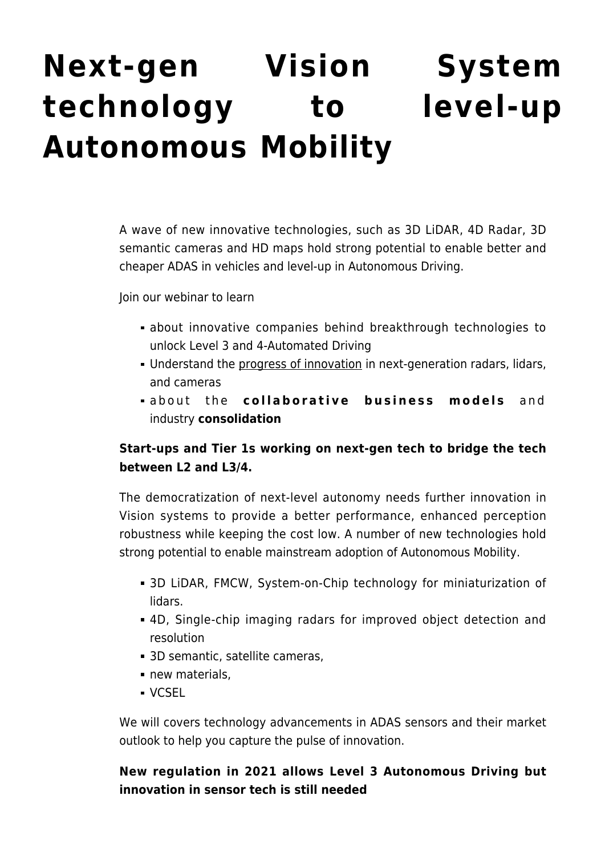## **[Next-gen Vision System](https://www.futurebridge.com/webinar/next-gen-vision-system-technology-to-level-up-autonomous-mobility/) [technology to level-up](https://www.futurebridge.com/webinar/next-gen-vision-system-technology-to-level-up-autonomous-mobility/) [Autonomous Mobility](https://www.futurebridge.com/webinar/next-gen-vision-system-technology-to-level-up-autonomous-mobility/)**

A wave of new innovative technologies, such as 3D LiDAR, 4D Radar, 3D semantic cameras and HD maps hold strong potential to enable better and cheaper ADAS in vehicles and level-up in Autonomous Driving.

Join our webinar to learn

- about innovative companies behind breakthrough technologies to unlock Level 3 and 4-Automated Driving
- Understand the progress of innovation in next-generation radars, lidars, and cameras
- about the **collaborative business models** and industry **consolidation**

## **Start-ups and Tier 1s working on next-gen tech to bridge the tech between L2 and L3/4.**

The democratization of next-level autonomy needs further innovation in Vision systems to provide a better performance, enhanced perception robustness while keeping the cost low. A number of new technologies hold strong potential to enable mainstream adoption of Autonomous Mobility.

- 3D LiDAR, FMCW, System-on-Chip technology for miniaturization of lidars.
- 4D, Single-chip imaging radars for improved object detection and resolution
- 3D semantic, satellite cameras,
- new materials,
- VCSEL

We will covers technology advancements in ADAS sensors and their market outlook to help you capture the pulse of innovation.

## **New regulation in 2021 allows Level 3 Autonomous Driving but innovation in sensor tech is still needed**